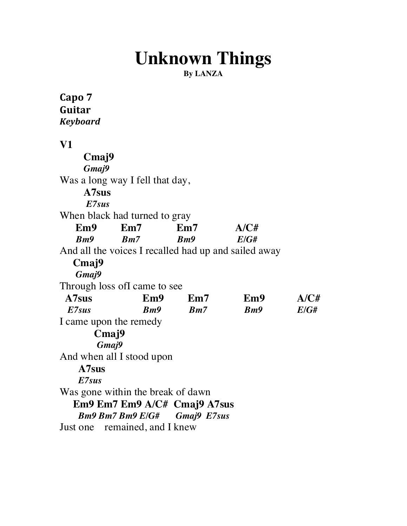# **Unknown Things**

**By LANZA**

Capo 7 **Guitar%** *Keyboard* **V1 Cmaj9** *Gmaj9* Was a long way I fell that day, **A7sus** *E7sus* When black had turned to gray  **Em9 Em7 Em7 A/C#**  *Bm9 Bm7 Bm9 E/G#* And all the voices I recalled had up and sailed away **Cmaj9** *Gmaj9* Through loss ofI came to see  **A7sus Em9 Em7 Em9 A/C#** *E7sus**Bm9 Bm7 Bm9 E/G#* I came upon the remedy **Cmaj9** *Gmaj9* And when all I stood upon **A7sus** *E7sus* Was gone within the break of dawn  **Em9 Em7 Em9 A/C# Cmaj9 A7sus** *Bm9 Bm7 Bm9 E/G#**Gmaj9 E7sus* Just one remained, and I knew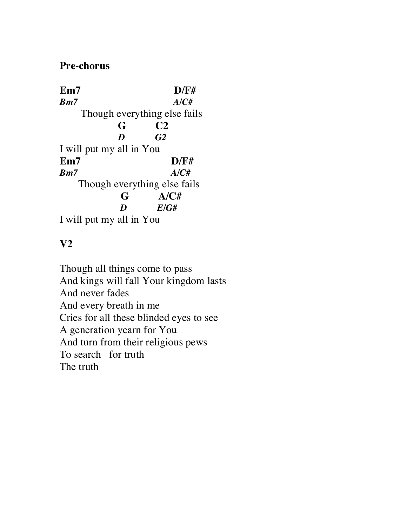### **Pre-chorus**

**Em7 D/F#** *Bm7 A/C#* Though everything else fails  **G C2** *D G2* I will put my all in You **Em7 D/F#** *Bm7 A/C#* Though everything else fails **G A/C#**  *D E/G#* I will put my all in You

# **V2**

Though all things come to pass And kings will fall Your kingdom lasts And never fades And every breath in me Cries for all these blinded eyes to see A generation yearn for You And turn from their religious pews To search for truth The truth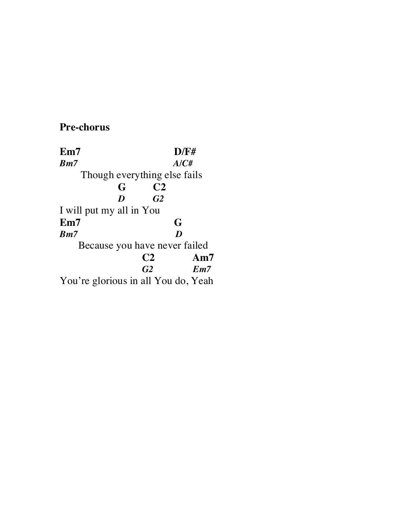## **Pre-chorus**

**Em7 D/F#**<br>*Bm7* **A/C#** *Bm7 A/C#* Though everything else fails  **G C2** *G2* I will put my all in You **Em7 G**<br>*Bm7 D Bm7*  Because you have never failed C<sub>2</sub> Am7<br> *G<sub>2</sub> Em7 Em7* You're glorious in all You do, Yeah